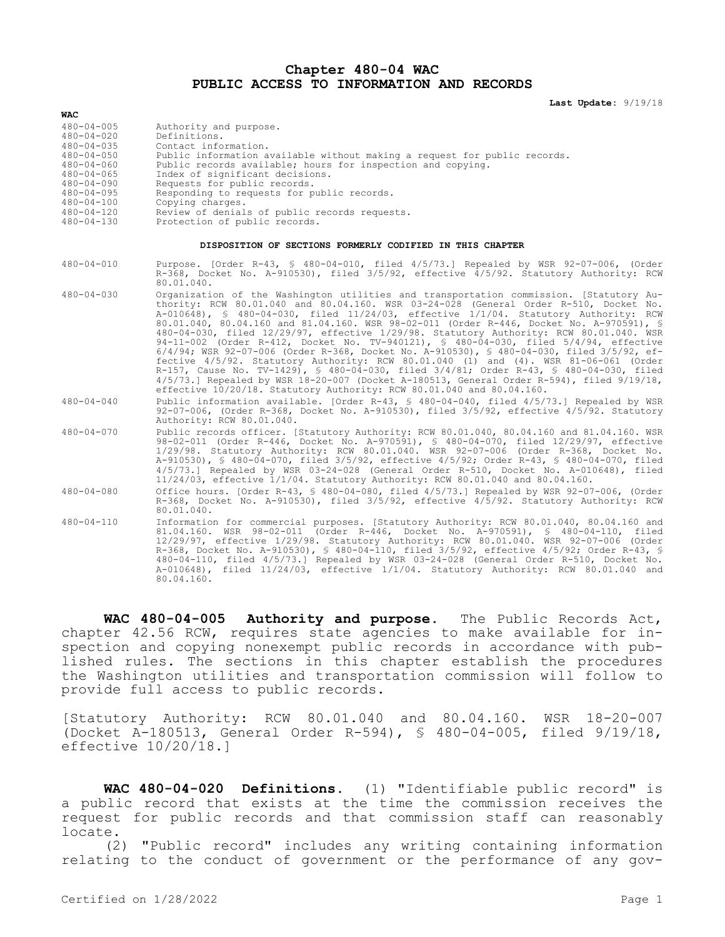## **Chapter 480-04 WAC PUBLIC ACCESS TO INFORMATION AND RECORDS**

**Last Update:** 9/19/18

| <b>WAC</b>                                                                                                                                                                                                               |                                                                                                                                                                                                                                                                                                                                                                                                                                                                                                                                                                                                                                                                                                                                                                                                                                                                                                                                                                                                                  |
|--------------------------------------------------------------------------------------------------------------------------------------------------------------------------------------------------------------------------|------------------------------------------------------------------------------------------------------------------------------------------------------------------------------------------------------------------------------------------------------------------------------------------------------------------------------------------------------------------------------------------------------------------------------------------------------------------------------------------------------------------------------------------------------------------------------------------------------------------------------------------------------------------------------------------------------------------------------------------------------------------------------------------------------------------------------------------------------------------------------------------------------------------------------------------------------------------------------------------------------------------|
| $480 - 04 - 005$<br>$480 - 04 - 020$<br>$480 - 04 - 035$<br>$480 - 04 - 050$<br>$480 - 04 - 060$<br>$480 - 04 - 065$<br>$480 - 04 - 090$<br>$480 - 04 - 095$<br>$480 - 04 - 100$<br>$480 - 04 - 120$<br>$480 - 04 - 130$ | Authority and purpose.<br>Definitions.<br>Contact information.<br>Public information available without making a request for public records.<br>Public records available; hours for inspection and copying.<br>Index of significant decisions.<br>Requests for public records.<br>Responding to requests for public records.<br>Copying charges.<br>Review of denials of public records requests.<br>Protection of public records.                                                                                                                                                                                                                                                                                                                                                                                                                                                                                                                                                                                |
| DISPOSITION OF SECTIONS FORMERLY CODIFIED IN THIS CHAPTER                                                                                                                                                                |                                                                                                                                                                                                                                                                                                                                                                                                                                                                                                                                                                                                                                                                                                                                                                                                                                                                                                                                                                                                                  |
| $480 - 04 - 010$                                                                                                                                                                                                         | Purpose. [Order R-43, § 480-04-010, filed 4/5/73.] Repealed by WSR 92-07-006, (Order<br>R-368, Docket No. A-910530), filed 3/5/92, effective 4/5/92. Statutory Authority: RCW<br>80.01.040.                                                                                                                                                                                                                                                                                                                                                                                                                                                                                                                                                                                                                                                                                                                                                                                                                      |
| $480 - 04 - 030$                                                                                                                                                                                                         | Organization of the Washington utilities and transportation commission. [Statutory Au-<br>thority: RCW 80.01.040 and 80.04.160. WSR 03-24-028 (General Order R-510, Docket No.<br>A-010648), § 480-04-030, filed 11/24/03, effective 1/1/04. Statutory Authority: RCW<br>80.01.040, 80.04.160 and 81.04.160. WSR 98-02-011 (Order R-446, Docket No. A-970591), §<br>480-04-030, filed 12/29/97, effective 1/29/98. Statutory Authority: RCW 80.01.040. WSR<br>94-11-002 (Order R-412, Docket No. TV-940121), § 480-04-030, filed 5/4/94, effective<br>$6/4/94$ ; WSR 92-07-006 (Order R-368, Docket No. A-910530), § 480-04-030, filed 3/5/92, ef-<br>fective 4/5/92. Statutory Authority: RCW 80.01.040 (1) and (4). WSR 81-06-061 (Order<br>R-157, Cause No. TV-1429), § 480-04-030, filed 3/4/81; Order R-43, § 480-04-030, filed<br>$4/5/73$ .] Repealed by WSR 18-20-007 (Docket A-180513, General Order R-594), filed $9/19/18$ ,<br>effective 10/20/18. Statutory Authority: RCW 80.01.040 and 80.04.160. |
| $480 - 04 - 040$                                                                                                                                                                                                         | Public information available. [Order R-43, § 480-04-040, filed 4/5/73.] Repealed by WSR<br>92-07-006, (Order R-368, Docket No. A-910530), filed 3/5/92, effective 4/5/92. Statutory<br>Authority: RCW 80.01.040.                                                                                                                                                                                                                                                                                                                                                                                                                                                                                                                                                                                                                                                                                                                                                                                                 |
| $480 - 04 - 070$                                                                                                                                                                                                         | Public records officer. [Statutory Authority: RCW 80.01.040, 80.04.160 and 81.04.160. WSR<br>98-02-011 (Order R-446, Docket No. A-970591), § 480-04-070, filed 12/29/97, effective<br>1/29/98. Statutory Authority: RCW 80.01.040. WSR 92-07-006 (Order R-368, Docket No.<br>A-910530), § 480-04-070, filed 3/5/92, effective 4/5/92; Order R-43, § 480-04-070, filed<br>$4/5/73$ .] Repealed by WSR 03-24-028 (General Order R-510, Docket No. A-010648), filed<br>11/24/03, effective 1/1/04. Statutory Authority: RCW 80.01.040 and 80.04.160.                                                                                                                                                                                                                                                                                                                                                                                                                                                                |
| $480 - 04 - 080$                                                                                                                                                                                                         | Office hours. [Order R-43, § 480-04-080, filed 4/5/73.] Repealed by WSR 92-07-006, (Order<br>R-368, Docket No. A-910530), filed 3/5/92, effective 4/5/92. Statutory Authority: RCW<br>80.01.040.                                                                                                                                                                                                                                                                                                                                                                                                                                                                                                                                                                                                                                                                                                                                                                                                                 |
| $480 - 04 - 110$                                                                                                                                                                                                         | Information for commercial purposes. [Statutory Authority: RCW 80.01.040, 80.04.160 and<br>81.04.160. WSR 98-02-011 (Order R-446, Docket No. A-970591), § 480-04-110, filed<br>12/29/97, effective 1/29/98. Statutory Authority: RCW 80.01.040. WSR 92-07-006 (Order<br>R-368, Docket No. A-910530), § 480-04-110, filed 3/5/92, effective 4/5/92; Order R-43, §<br>480-04-110, filed 4/5/73.] Repealed by WSR 03-24-028 (General Order R-510, Docket No.<br>A-010648), filed 11/24/03, effective 1/1/04. Statutory Authority: RCW 80.01.040 and<br>80.04.160.                                                                                                                                                                                                                                                                                                                                                                                                                                                   |

**WAC 480-04-005 Authority and purpose.** The Public Records Act, chapter 42.56 RCW, requires state agencies to make available for inspection and copying nonexempt public records in accordance with published rules. The sections in this chapter establish the procedures the Washington utilities and transportation commission will follow to provide full access to public records.

[Statutory Authority: RCW 80.01.040 and 80.04.160. WSR 18-20-007 (Docket A-180513, General Order R-594), § 480-04-005, filed 9/19/18, effective 10/20/18.]

**WAC 480-04-020 Definitions.** (1) "Identifiable public record" is a public record that exists at the time the commission receives the request for public records and that commission staff can reasonably locate.

(2) "Public record" includes any writing containing information relating to the conduct of government or the performance of any gov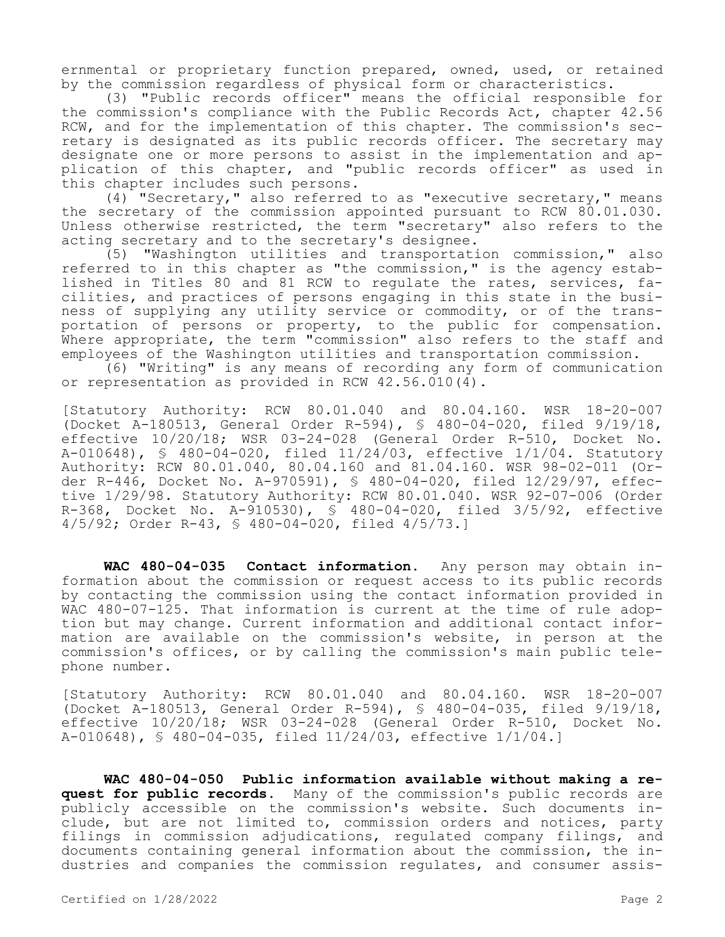ernmental or proprietary function prepared, owned, used, or retained by the commission regardless of physical form or characteristics.

(3) "Public records officer" means the official responsible for the commission's compliance with the Public Records Act, chapter 42.56 RCW, and for the implementation of this chapter. The commission's secretary is designated as its public records officer. The secretary may designate one or more persons to assist in the implementation and application of this chapter, and "public records officer" as used in this chapter includes such persons.

(4) "Secretary," also referred to as "executive secretary," means the secretary of the commission appointed pursuant to RCW 80.01.030. Unless otherwise restricted, the term "secretary" also refers to the acting secretary and to the secretary's designee.

(5) "Washington utilities and transportation commission," also referred to in this chapter as "the commission," is the agency established in Titles 80 and 81 RCW to regulate the rates, services, facilities, and practices of persons engaging in this state in the business of supplying any utility service or commodity, or of the transportation of persons or property, to the public for compensation. Where appropriate, the term "commission" also refers to the staff and employees of the Washington utilities and transportation commission.

(6) "Writing" is any means of recording any form of communication or representation as provided in RCW 42.56.010(4).

[Statutory Authority: RCW 80.01.040 and 80.04.160. WSR 18-20-007 (Docket A-180513, General Order R-594), § 480-04-020, filed 9/19/18, effective 10/20/18; WSR 03-24-028 (General Order R-510, Docket No. A-010648), § 480-04-020, filed 11/24/03, effective 1/1/04. Statutory Authority: RCW 80.01.040, 80.04.160 and 81.04.160. WSR 98-02-011 (Order R-446, Docket No. A-970591), § 480-04-020, filed 12/29/97, effective 1/29/98. Statutory Authority: RCW 80.01.040. WSR 92-07-006 (Order R-368, Docket No. A-910530), § 480-04-020, filed 3/5/92, effective 4/5/92; Order R-43, § 480-04-020, filed 4/5/73.]

**WAC 480-04-035 Contact information.** Any person may obtain information about the commission or request access to its public records by contacting the commission using the contact information provided in WAC 480-07-125. That information is current at the time of rule adoption but may change. Current information and additional contact information are available on the commission's website, in person at the commission's offices, or by calling the commission's main public telephone number.

[Statutory Authority: RCW 80.01.040 and 80.04.160. WSR 18-20-007 (Docket A-180513, General Order R-594), § 480-04-035, filed 9/19/18, effective 10/20/18; WSR 03-24-028 (General Order R-510, Docket No. A-010648), § 480-04-035, filed 11/24/03, effective 1/1/04.]

**WAC 480-04-050 Public information available without making a request for public records.** Many of the commission's public records are publicly accessible on the commission's website. Such documents include, but are not limited to, commission orders and notices, party filings in commission adjudications, regulated company filings, and documents containing general information about the commission, the industries and companies the commission regulates, and consumer assis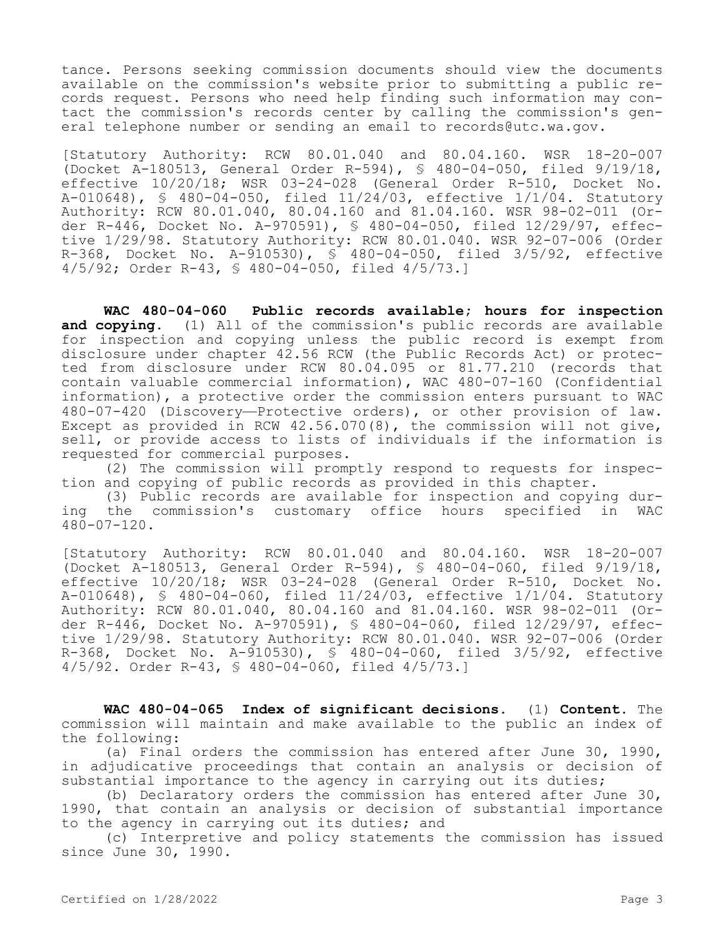tance. Persons seeking commission documents should view the documents available on the commission's website prior to submitting a public records request. Persons who need help finding such information may contact the commission's records center by calling the commission's general telephone number or sending an email to records@utc.wa.gov.

[Statutory Authority: RCW 80.01.040 and 80.04.160. WSR 18-20-007 (Docket A-180513, General Order R-594), § 480-04-050, filed 9/19/18, effective 10/20/18; WSR 03-24-028 (General Order R-510, Docket No. A-010648), § 480-04-050, filed 11/24/03, effective 1/1/04. Statutory Authority: RCW 80.01.040, 80.04.160 and 81.04.160. WSR 98-02-011 (Order R-446, Docket No. A-970591), § 480-04-050, filed 12/29/97, effective 1/29/98. Statutory Authority: RCW 80.01.040. WSR 92-07-006 (Order R-368, Docket No. A-910530),  $\overline{S}$  480-04-050, filed 3/5/92, effective 4/5/92; Order R-43, § 480-04-050, filed 4/5/73.]

**WAC 480-04-060 Public records available; hours for inspection and copying.** (1) All of the commission's public records are available for inspection and copying unless the public record is exempt from disclosure under chapter 42.56 RCW (the Public Records Act) or protected from disclosure under RCW 80.04.095 or 81.77.210 (records that contain valuable commercial information), WAC 480-07-160 (Confidential information), a protective order the commission enters pursuant to WAC 480-07-420 (Discovery—Protective orders), or other provision of law. Except as provided in RCW 42.56.070(8), the commission will not give, sell, or provide access to lists of individuals if the information is requested for commercial purposes.

(2) The commission will promptly respond to requests for inspection and copying of public records as provided in this chapter.

(3) Public records are available for inspection and copying during the commission's customary office hours specified in WAC 480-07-120.

[Statutory Authority: RCW 80.01.040 and 80.04.160. WSR 18-20-007 (Docket A-180513, General Order R-594), § 480-04-060, filed 9/19/18, effective 10/20/18; WSR 03-24-028 (General Order R-510, Docket No. A-010648), § 480-04-060, filed 11/24/03, effective 1/1/04. Statutory Authority: RCW 80.01.040, 80.04.160 and 81.04.160. WSR 98-02-011 (Order R-446, Docket No. A-970591), § 480-04-060, filed 12/29/97, effective 1/29/98. Statutory Authority: RCW 80.01.040. WSR 92-07-006 (Order R-368, Docket No. A-910530), § 480-04-060, filed 3/5/92, effective 4/5/92. Order R-43, § 480-04-060, filed 4/5/73.]

**WAC 480-04-065 Index of significant decisions.** (1) **Content.** The commission will maintain and make available to the public an index of the following:

(a) Final orders the commission has entered after June 30, 1990, in adjudicative proceedings that contain an analysis or decision of substantial importance to the agency in carrying out its duties;

(b) Declaratory orders the commission has entered after June 30, 1990, that contain an analysis or decision of substantial importance to the agency in carrying out its duties; and

(c) Interpretive and policy statements the commission has issued since June 30, 1990.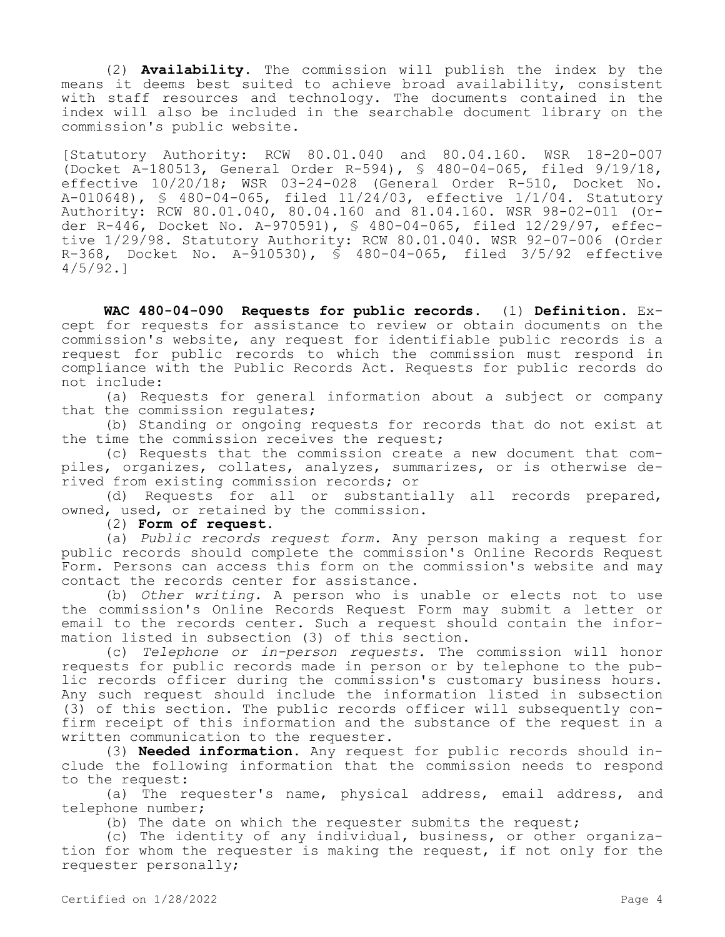(2) **Availability.** The commission will publish the index by the means it deems best suited to achieve broad availability, consistent with staff resources and technology. The documents contained in the index will also be included in the searchable document library on the commission's public website.

[Statutory Authority: RCW 80.01.040 and 80.04.160. WSR 18-20-007 (Docket A-180513, General Order R-594), § 480-04-065, filed 9/19/18, effective 10/20/18; WSR 03-24-028 (General Order R-510, Docket No. A-010648), § 480-04-065, filed 11/24/03, effective 1/1/04. Statutory Authority: RCW 80.01.040, 80.04.160 and 81.04.160. WSR 98-02-011 (Order R-446, Docket No. A-970591), § 480-04-065, filed 12/29/97, effective 1/29/98. Statutory Authority: RCW 80.01.040. WSR 92-07-006 (Order R-368, Docket No. A-910530), § 480-04-065, filed 3/5/92 effective 4/5/92.]

**WAC 480-04-090 Requests for public records.** (1) **Definition.** Except for requests for assistance to review or obtain documents on the commission's website, any request for identifiable public records is a request for public records to which the commission must respond in compliance with the Public Records Act. Requests for public records do not include:

(a) Requests for general information about a subject or company that the commission regulates;

(b) Standing or ongoing requests for records that do not exist at the time the commission receives the request;

(c) Requests that the commission create a new document that compiles, organizes, collates, analyzes, summarizes, or is otherwise derived from existing commission records; or

(d) Requests for all or substantially all records prepared, owned, used, or retained by the commission.

(2) **Form of request.**

(a) *Public records request form.* Any person making a request for public records should complete the commission's Online Records Request Form. Persons can access this form on the commission's website and may contact the records center for assistance.

(b) *Other writing.* A person who is unable or elects not to use the commission's Online Records Request Form may submit a letter or email to the records center. Such a request should contain the information listed in subsection (3) of this section.

(c) *Telephone or in-person requests.* The commission will honor requests for public records made in person or by telephone to the public records officer during the commission's customary business hours. Any such request should include the information listed in subsection (3) of this section. The public records officer will subsequently confirm receipt of this information and the substance of the request in a written communication to the requester.

(3) **Needed information.** Any request for public records should include the following information that the commission needs to respond to the request:

(a) The requester's name, physical address, email address, and telephone number;

(b) The date on which the requester submits the request;

(c) The identity of any individual, business, or other organization for whom the requester is making the request, if not only for the requester personally;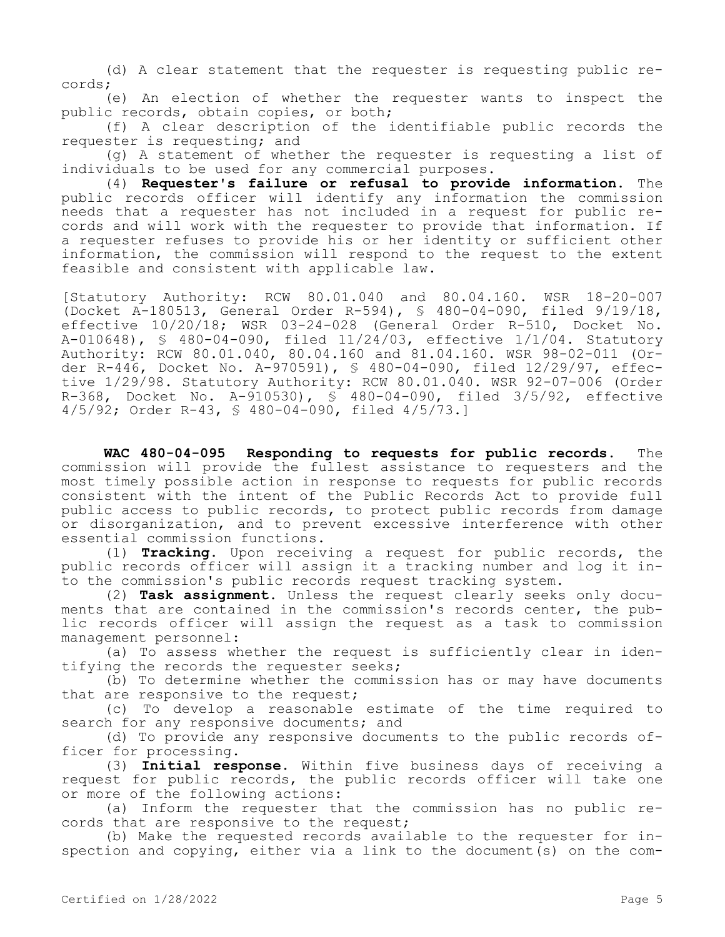(d) A clear statement that the requester is requesting public records;

(e) An election of whether the requester wants to inspect the public records, obtain copies, or both;

(f) A clear description of the identifiable public records the requester is requesting; and

(g) A statement of whether the requester is requesting a list of individuals to be used for any commercial purposes.

(4) **Requester's failure or refusal to provide information.** The public records officer will identify any information the commission needs that a requester has not included in a request for public records and will work with the requester to provide that information. If a requester refuses to provide his or her identity or sufficient other information, the commission will respond to the request to the extent feasible and consistent with applicable law.

[Statutory Authority: RCW 80.01.040 and 80.04.160. WSR 18-20-007 (Docket A-180513, General Order R-594), § 480-04-090, filed 9/19/18, effective 10/20/18; WSR 03-24-028 (General Order R-510, Docket No. A-010648), § 480-04-090, filed 11/24/03, effective 1/1/04. Statutory Authority: RCW 80.01.040, 80.04.160 and 81.04.160. WSR 98-02-011 (Order R-446, Docket No. A-970591), § 480-04-090, filed 12/29/97, effective 1/29/98. Statutory Authority: RCW 80.01.040. WSR 92-07-006 (Order R-368, Docket No. A-910530), § 480-04-090, filed 3/5/92, effective 4/5/92; Order R-43, § 480-04-090, filed 4/5/73.]

**WAC 480-04-095 Responding to requests for public records.** The commission will provide the fullest assistance to requesters and the most timely possible action in response to requests for public records consistent with the intent of the Public Records Act to provide full public access to public records, to protect public records from damage or disorganization, and to prevent excessive interference with other essential commission functions.

(1) **Tracking.** Upon receiving a request for public records, the public records officer will assign it a tracking number and log it into the commission's public records request tracking system.

(2) **Task assignment.** Unless the request clearly seeks only documents that are contained in the commission's records center, the public records officer will assign the request as a task to commission management personnel:

(a) To assess whether the request is sufficiently clear in identifying the records the requester seeks;

(b) To determine whether the commission has or may have documents that are responsive to the request;

(c) To develop a reasonable estimate of the time required to search for any responsive documents; and

(d) To provide any responsive documents to the public records officer for processing.

(3) **Initial response.** Within five business days of receiving a request for public records, the public records officer will take one or more of the following actions:

(a) Inform the requester that the commission has no public records that are responsive to the request;

(b) Make the requested records available to the requester for inspection and copying, either via a link to the document(s) on the com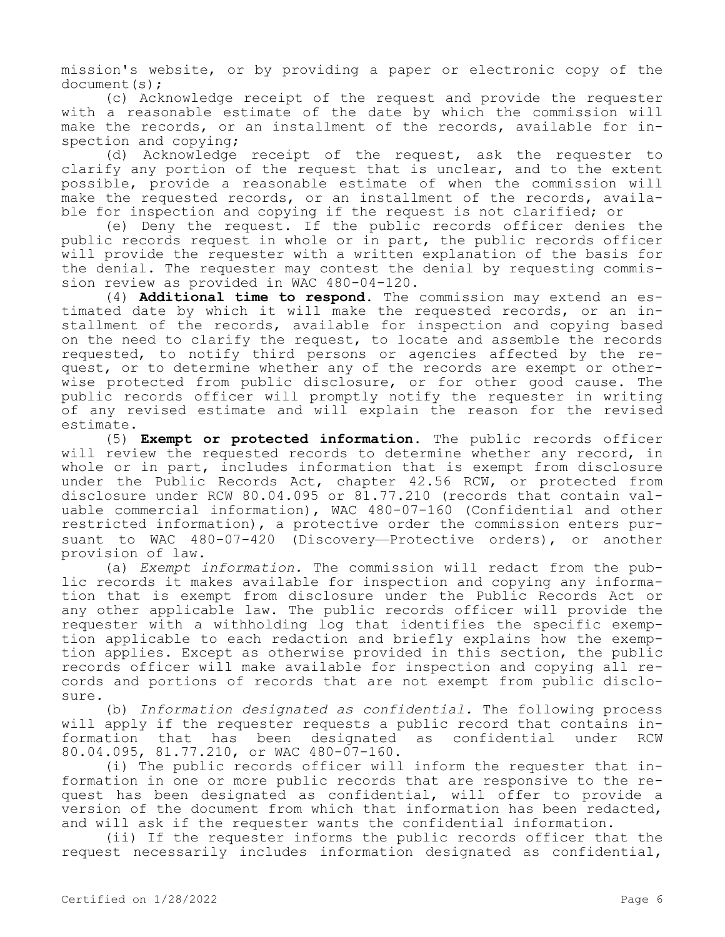mission's website, or by providing a paper or electronic copy of the document(s);

(c) Acknowledge receipt of the request and provide the requester with a reasonable estimate of the date by which the commission will make the records, or an installment of the records, available for inspection and copying;

(d) Acknowledge receipt of the request, ask the requester to clarify any portion of the request that is unclear, and to the extent possible, provide a reasonable estimate of when the commission will make the requested records, or an installment of the records, available for inspection and copying if the request is not clarified; or

(e) Deny the request. If the public records officer denies the public records request in whole or in part, the public records officer will provide the requester with a written explanation of the basis for the denial. The requester may contest the denial by requesting commission review as provided in WAC 480-04-120.

(4) **Additional time to respond.** The commission may extend an estimated date by which it will make the requested records, or an installment of the records, available for inspection and copying based on the need to clarify the request, to locate and assemble the records requested, to notify third persons or agencies affected by the request, or to determine whether any of the records are exempt or otherwise protected from public disclosure, or for other good cause. The public records officer will promptly notify the requester in writing of any revised estimate and will explain the reason for the revised estimate.

(5) **Exempt or protected information.** The public records officer will review the requested records to determine whether any record, in whole or in part, includes information that is exempt from disclosure under the Public Records Act, chapter 42.56 RCW, or protected from disclosure under RCW 80.04.095 or 81.77.210 (records that contain valuable commercial information), WAC 480-07-160 (Confidential and other restricted information), a protective order the commission enters pursuant to WAC 480-07-420 (Discovery—Protective orders), or another provision of law.

(a) *Exempt information.* The commission will redact from the public records it makes available for inspection and copying any information that is exempt from disclosure under the Public Records Act or any other applicable law. The public records officer will provide the requester with a withholding log that identifies the specific exemption applicable to each redaction and briefly explains how the exemption applies. Except as otherwise provided in this section, the public records officer will make available for inspection and copying all records and portions of records that are not exempt from public disclosure.

(b) *Information designated as confidential.* The following process will apply if the requester requests a public record that contains information that has been designated as confidential under RCW 80.04.095, 81.77.210, or WAC 480-07-160.

(i) The public records officer will inform the requester that information in one or more public records that are responsive to the request has been designated as confidential, will offer to provide a version of the document from which that information has been redacted, and will ask if the requester wants the confidential information.

(ii) If the requester informs the public records officer that the request necessarily includes information designated as confidential,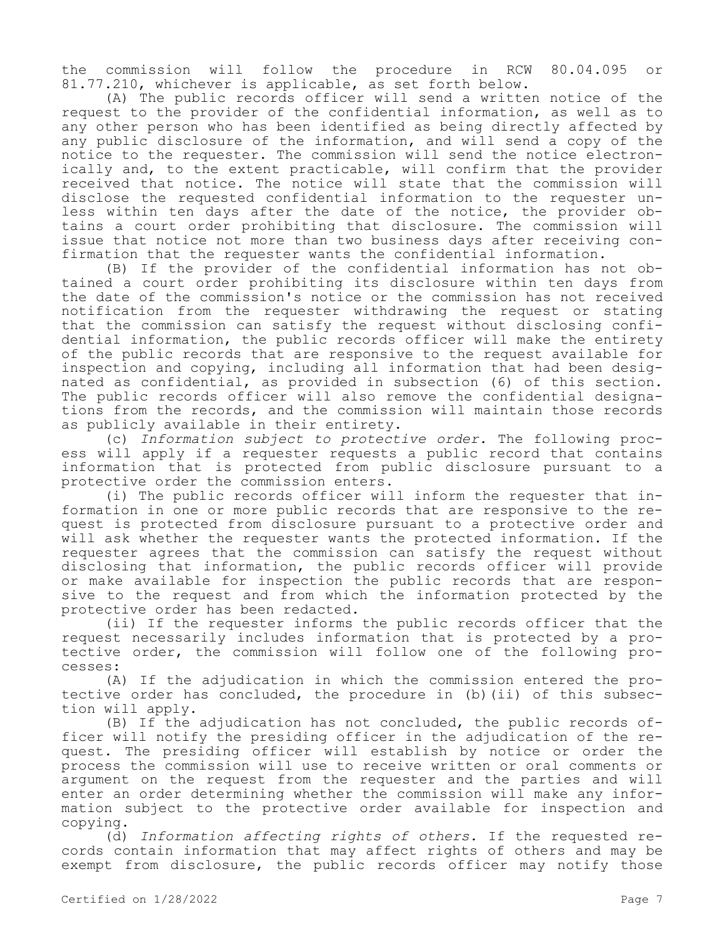the commission will follow the procedure in RCW 80.04.095 or 81.77.210, whichever is applicable, as set forth below.

(A) The public records officer will send a written notice of the request to the provider of the confidential information, as well as to any other person who has been identified as being directly affected by any public disclosure of the information, and will send a copy of the notice to the requester. The commission will send the notice electronically and, to the extent practicable, will confirm that the provider received that notice. The notice will state that the commission will disclose the requested confidential information to the requester unless within ten days after the date of the notice, the provider obtains a court order prohibiting that disclosure. The commission will issue that notice not more than two business days after receiving confirmation that the requester wants the confidential information.

(B) If the provider of the confidential information has not obtained a court order prohibiting its disclosure within ten days from the date of the commission's notice or the commission has not received notification from the requester withdrawing the request or stating that the commission can satisfy the request without disclosing confidential information, the public records officer will make the entirety of the public records that are responsive to the request available for inspection and copying, including all information that had been designated as confidential, as provided in subsection (6) of this section. The public records officer will also remove the confidential designations from the records, and the commission will maintain those records as publicly available in their entirety.

(c) *Information subject to protective order.* The following process will apply if a requester requests a public record that contains information that is protected from public disclosure pursuant to a protective order the commission enters.

(i) The public records officer will inform the requester that information in one or more public records that are responsive to the request is protected from disclosure pursuant to a protective order and will ask whether the requester wants the protected information. If the requester agrees that the commission can satisfy the request without disclosing that information, the public records officer will provide or make available for inspection the public records that are responsive to the request and from which the information protected by the protective order has been redacted.

(ii) If the requester informs the public records officer that the request necessarily includes information that is protected by a protective order, the commission will follow one of the following processes:

(A) If the adjudication in which the commission entered the protective order has concluded, the procedure in (b)(ii) of this subsection will apply.

(B) If the adjudication has not concluded, the public records officer will notify the presiding officer in the adjudication of the request. The presiding officer will establish by notice or order the process the commission will use to receive written or oral comments or argument on the request from the requester and the parties and will enter an order determining whether the commission will make any information subject to the protective order available for inspection and copying.

(d) *Information affecting rights of others.* If the requested records contain information that may affect rights of others and may be exempt from disclosure, the public records officer may notify those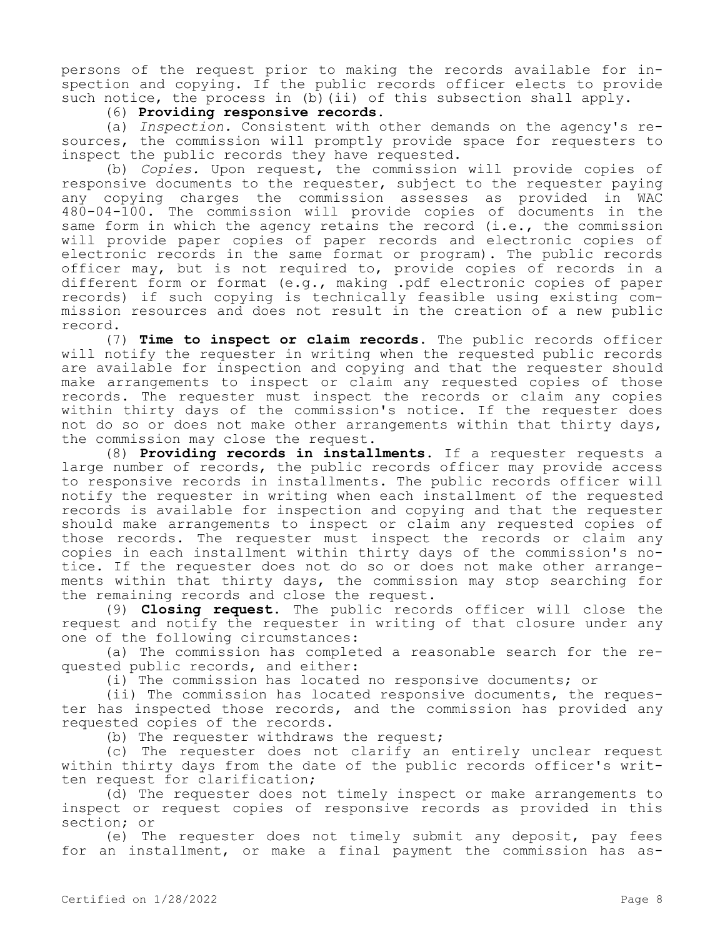persons of the request prior to making the records available for inspection and copying. If the public records officer elects to provide such notice, the process in (b) (ii) of this subsection shall apply.

(6) **Providing responsive records.**

(a) *Inspection.* Consistent with other demands on the agency's resources, the commission will promptly provide space for requesters to inspect the public records they have requested.

(b) *Copies.* Upon request, the commission will provide copies of responsive documents to the requester, subject to the requester paying any copying charges the commission assesses as provided in WAC 480-04-100. The commission will provide copies of documents in the same form in which the agency retains the record (i.e., the commission will provide paper copies of paper records and electronic copies of electronic records in the same format or program). The public records officer may, but is not required to, provide copies of records in a different form or format (e.g., making .pdf electronic copies of paper records) if such copying is technically feasible using existing commission resources and does not result in the creation of a new public record.

(7) **Time to inspect or claim records.** The public records officer will notify the requester in writing when the requested public records are available for inspection and copying and that the requester should make arrangements to inspect or claim any requested copies of those records. The requester must inspect the records or claim any copies within thirty days of the commission's notice. If the requester does not do so or does not make other arrangements within that thirty days, the commission may close the request.

(8) **Providing records in installments.** If a requester requests a large number of records, the public records officer may provide access to responsive records in installments. The public records officer will notify the requester in writing when each installment of the requested records is available for inspection and copying and that the requester should make arrangements to inspect or claim any requested copies of those records. The requester must inspect the records or claim any copies in each installment within thirty days of the commission's notice. If the requester does not do so or does not make other arrangements within that thirty days, the commission may stop searching for the remaining records and close the request.

(9) **Closing request.** The public records officer will close the request and notify the requester in writing of that closure under any one of the following circumstances:

(a) The commission has completed a reasonable search for the requested public records, and either:

(i) The commission has located no responsive documents; or

(ii) The commission has located responsive documents, the requester has inspected those records, and the commission has provided any requested copies of the records.

(b) The requester withdraws the request;

(c) The requester does not clarify an entirely unclear request within thirty days from the date of the public records officer's written request for clarification;

(d) The requester does not timely inspect or make arrangements to inspect or request copies of responsive records as provided in this section; or

(e) The requester does not timely submit any deposit, pay fees for an installment, or make a final payment the commission has as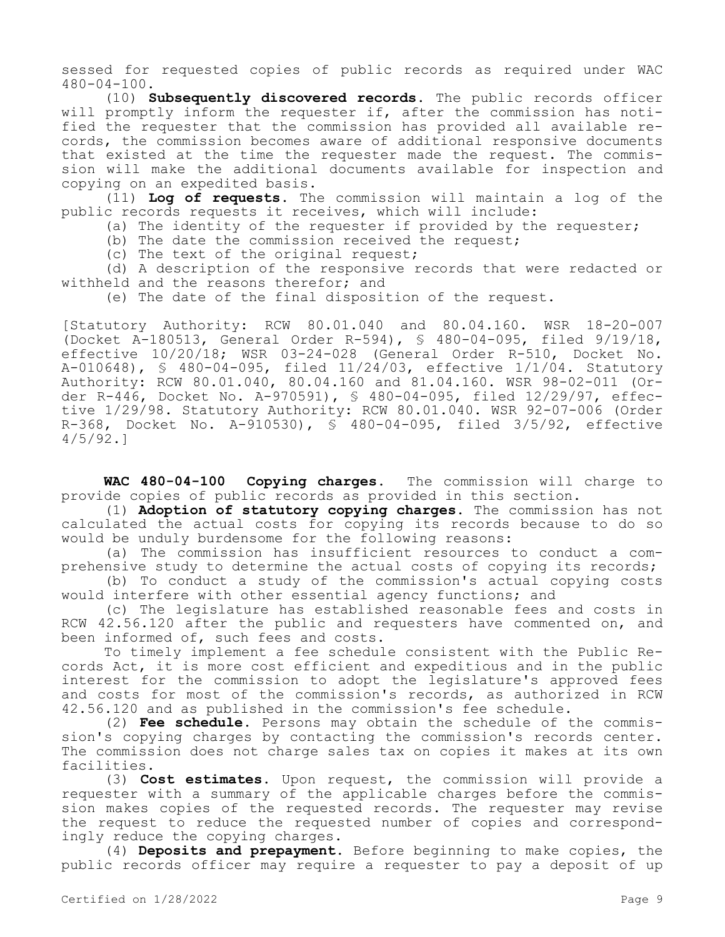sessed for requested copies of public records as required under WAC 480-04-100.

(10) **Subsequently discovered records.** The public records officer will promptly inform the requester if, after the commission has notified the requester that the commission has provided all available records, the commission becomes aware of additional responsive documents that existed at the time the requester made the request. The commission will make the additional documents available for inspection and copying on an expedited basis.

(11) **Log of requests**. The commission will maintain a log of the public records requests it receives, which will include:

(a) The identity of the requester if provided by the requester;

(b) The date the commission received the request;

(c) The text of the original request;

(d) A description of the responsive records that were redacted or withheld and the reasons therefor; and

(e) The date of the final disposition of the request.

[Statutory Authority: RCW 80.01.040 and 80.04.160. WSR 18-20-007 (Docket A-180513, General Order R-594), § 480-04-095, filed 9/19/18, effective 10/20/18; WSR 03-24-028 (General Order R-510, Docket No. A-010648), § 480-04-095, filed 11/24/03, effective 1/1/04. Statutory Authority: RCW 80.01.040, 80.04.160 and 81.04.160. WSR 98-02-011 (Order R-446, Docket No. A-970591), § 480-04-095, filed 12/29/97, effective 1/29/98. Statutory Authority: RCW 80.01.040. WSR 92-07-006 (Order R-368, Docket No. A-910530),  $\overline{S}$  480-04-095, filed 3/5/92, effective 4/5/92.]

**WAC 480-04-100 Copying charges.** The commission will charge to provide copies of public records as provided in this section.

(1) **Adoption of statutory copying charges.** The commission has not calculated the actual costs for copying its records because to do so would be unduly burdensome for the following reasons:

(a) The commission has insufficient resources to conduct a comprehensive study to determine the actual costs of copying its records;

(b) To conduct a study of the commission's actual copying costs would interfere with other essential agency functions; and

(c) The legislature has established reasonable fees and costs in RCW 42.56.120 after the public and requesters have commented on, and been informed of, such fees and costs.

To timely implement a fee schedule consistent with the Public Records Act, it is more cost efficient and expeditious and in the public interest for the commission to adopt the legislature's approved fees and costs for most of the commission's records, as authorized in RCW 42.56.120 and as published in the commission's fee schedule.

(2) **Fee schedule.** Persons may obtain the schedule of the commission's copying charges by contacting the commission's records center. The commission does not charge sales tax on copies it makes at its own facilities.

(3) **Cost estimates.** Upon request, the commission will provide a requester with a summary of the applicable charges before the commission makes copies of the requested records. The requester may revise the request to reduce the requested number of copies and correspondingly reduce the copying charges.

(4) **Deposits and prepayment.** Before beginning to make copies, the public records officer may require a requester to pay a deposit of up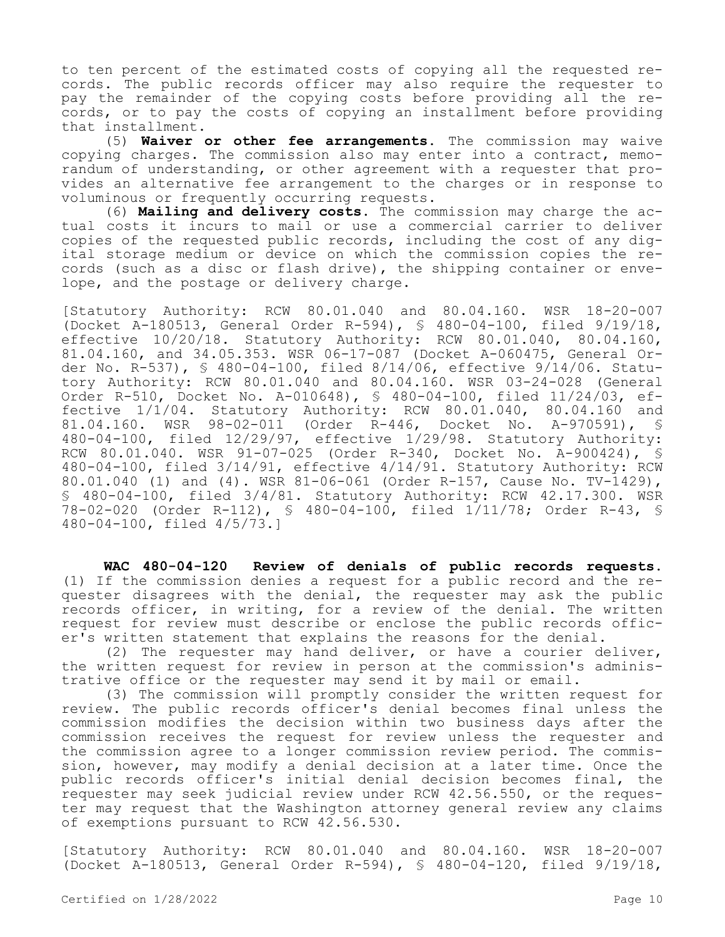to ten percent of the estimated costs of copying all the requested records. The public records officer may also require the requester to pay the remainder of the copying costs before providing all the records, or to pay the costs of copying an installment before providing that installment.

(5) **Waiver or other fee arrangements.** The commission may waive copying charges. The commission also may enter into a contract, memorandum of understanding, or other agreement with a requester that provides an alternative fee arrangement to the charges or in response to voluminous or frequently occurring requests.

(6) **Mailing and delivery costs.** The commission may charge the actual costs it incurs to mail or use a commercial carrier to deliver copies of the requested public records, including the cost of any digital storage medium or device on which the commission copies the records (such as a disc or flash drive), the shipping container or envelope, and the postage or delivery charge.

[Statutory Authority: RCW 80.01.040 and 80.04.160. WSR 18-20-007 (Docket A-180513, General Order R-594), § 480-04-100, filed 9/19/18, effective 10/20/18. Statutory Authority: RCW 80.01.040, 80.04.160, 81.04.160, and 34.05.353. WSR 06-17-087 (Docket A-060475, General Order No. R-537), § 480-04-100, filed 8/14/06, effective 9/14/06. Statutory Authority: RCW 80.01.040 and 80.04.160. WSR 03-24-028 (General Order R-510, Docket No. A-010648), § 480-04-100, filed 11/24/03, effective 1/1/04. Statutory Authority: RCW 80.01.040, 80.04.160 and 81.04.160. WSR 98-02-011 (Order R-446, Docket No. A-970591), § 480-04-100, filed 12/29/97, effective 1/29/98. Statutory Authority: RCW 80.01.040. WSR 91-07-025 (Order R-340, Docket No. A-900424), § 480-04-100, filed 3/14/91, effective 4/14/91. Statutory Authority: RCW 80.01.040 (1) and (4). WSR 81-06-061 (Order R-157, Cause No. TV-1429), § 480-04-100, filed 3/4/81. Statutory Authority: RCW 42.17.300. WSR 78-02-020 (Order R-112), § 480-04-100, filed 1/11/78; Order R-43, § 480-04-100, filed 4/5/73.]

**WAC 480-04-120 Review of denials of public records requests.**  (1) If the commission denies a request for a public record and the requester disagrees with the denial, the requester may ask the public records officer, in writing, for a review of the denial. The written request for review must describe or enclose the public records officer's written statement that explains the reasons for the denial.

(2) The requester may hand deliver, or have a courier deliver, the written request for review in person at the commission's administrative office or the requester may send it by mail or email.

(3) The commission will promptly consider the written request for review. The public records officer's denial becomes final unless the commission modifies the decision within two business days after the commission receives the request for review unless the requester and the commission agree to a longer commission review period. The commission, however, may modify a denial decision at a later time. Once the public records officer's initial denial decision becomes final, the requester may seek judicial review under RCW 42.56.550, or the requester may request that the Washington attorney general review any claims of exemptions pursuant to RCW 42.56.530.

[Statutory Authority: RCW 80.01.040 and 80.04.160. WSR 18-20-007 (Docket A-180513, General Order R-594), § 480-04-120, filed 9/19/18,